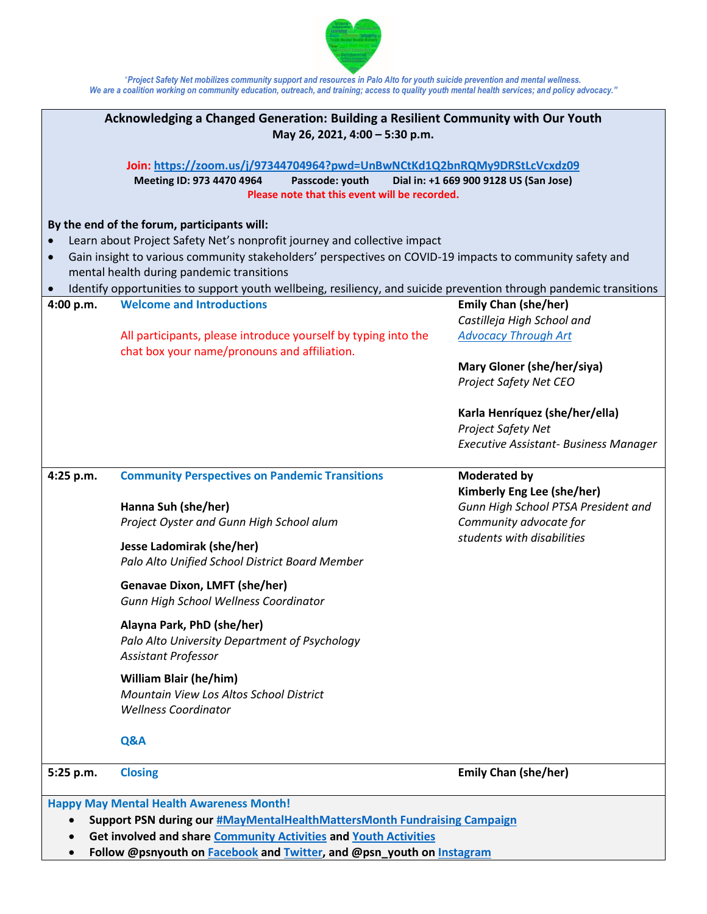

"*Project Safety Net mobilizes community support and resources in Palo Alto for youth suicide prevention and mental wellness. We are a coalition working on community education, outreach, and training; access to quality youth mental health services; and policy advocacy."*

| Acknowledging a Changed Generation: Building a Resilient Community with Our Youth<br>May 26, 2021, 4:00 - 5:30 p.m.                                                                                                                                                                                                                                                                                                 |                                                                                                                                                                                                                                                                                                                                                                                                                                                                                                                         |                                                                                                                                                                                                                                                                 |
|---------------------------------------------------------------------------------------------------------------------------------------------------------------------------------------------------------------------------------------------------------------------------------------------------------------------------------------------------------------------------------------------------------------------|-------------------------------------------------------------------------------------------------------------------------------------------------------------------------------------------------------------------------------------------------------------------------------------------------------------------------------------------------------------------------------------------------------------------------------------------------------------------------------------------------------------------------|-----------------------------------------------------------------------------------------------------------------------------------------------------------------------------------------------------------------------------------------------------------------|
|                                                                                                                                                                                                                                                                                                                                                                                                                     | Join: https://zoom.us/j/97344704964?pwd=UnBwNCtKd1Q2bnRQMy9DRStLcVcxdz09<br>Passcode: youth<br>Meeting ID: 973 4470 4964<br>Please note that this event will be recorded.                                                                                                                                                                                                                                                                                                                                               | Dial in: +1 669 900 9128 US (San Jose)                                                                                                                                                                                                                          |
| By the end of the forum, participants will:<br>Learn about Project Safety Net's nonprofit journey and collective impact<br>Gain insight to various community stakeholders' perspectives on COVID-19 impacts to community safety and<br>$\bullet$<br>mental health during pandemic transitions<br>Identify opportunities to support youth wellbeing, resiliency, and suicide prevention through pandemic transitions |                                                                                                                                                                                                                                                                                                                                                                                                                                                                                                                         |                                                                                                                                                                                                                                                                 |
| 4:00 p.m.                                                                                                                                                                                                                                                                                                                                                                                                           | <b>Welcome and Introductions</b><br>All participants, please introduce yourself by typing into the<br>chat box your name/pronouns and affiliation.                                                                                                                                                                                                                                                                                                                                                                      | <b>Emily Chan (she/her)</b><br>Castilleja High School and<br><b>Advocacy Through Art</b><br>Mary Gloner (she/her/siya)<br><b>Project Safety Net CEO</b><br>Karla Henríquez (she/her/ella)<br>Project Safety Net<br><b>Executive Assistant- Business Manager</b> |
| 4:25 p.m.                                                                                                                                                                                                                                                                                                                                                                                                           | <b>Community Perspectives on Pandemic Transitions</b><br>Hanna Suh (she/her)<br>Project Oyster and Gunn High School alum<br>Jesse Ladomirak (she/her)<br>Palo Alto Unified School District Board Member<br><b>Genavae Dixon, LMFT (she/her)</b><br>Gunn High School Wellness Coordinator<br>Alayna Park, PhD (she/her)<br>Palo Alto University Department of Psychology<br><b>Assistant Professor</b><br><b>William Blair (he/him)</b><br>Mountain View Los Altos School District<br><b>Wellness Coordinator</b><br>Q&A | <b>Moderated by</b><br>Kimberly Eng Lee (she/her)<br>Gunn High School PTSA President and<br>Community advocate for<br>students with disabilities                                                                                                                |
| 5:25 p.m.                                                                                                                                                                                                                                                                                                                                                                                                           | <b>Closing</b>                                                                                                                                                                                                                                                                                                                                                                                                                                                                                                          | <b>Emily Chan (she/her)</b>                                                                                                                                                                                                                                     |
| <b>Happy May Mental Health Awareness Month!</b><br>Support PSN during our #MayMentalHealthMattersMonth Fundraising Campaign<br>Get involved and share Community Activities and Youth Activities                                                                                                                                                                                                                     |                                                                                                                                                                                                                                                                                                                                                                                                                                                                                                                         |                                                                                                                                                                                                                                                                 |

• **Follow @psnyouth on [Facebook](https://www.facebook.com/psnyouth) and [Twitter,](https://twitter.com/psnyouth) and @psn\_youth on [Instagram](https://www.instagram.com/psn_youth/)**